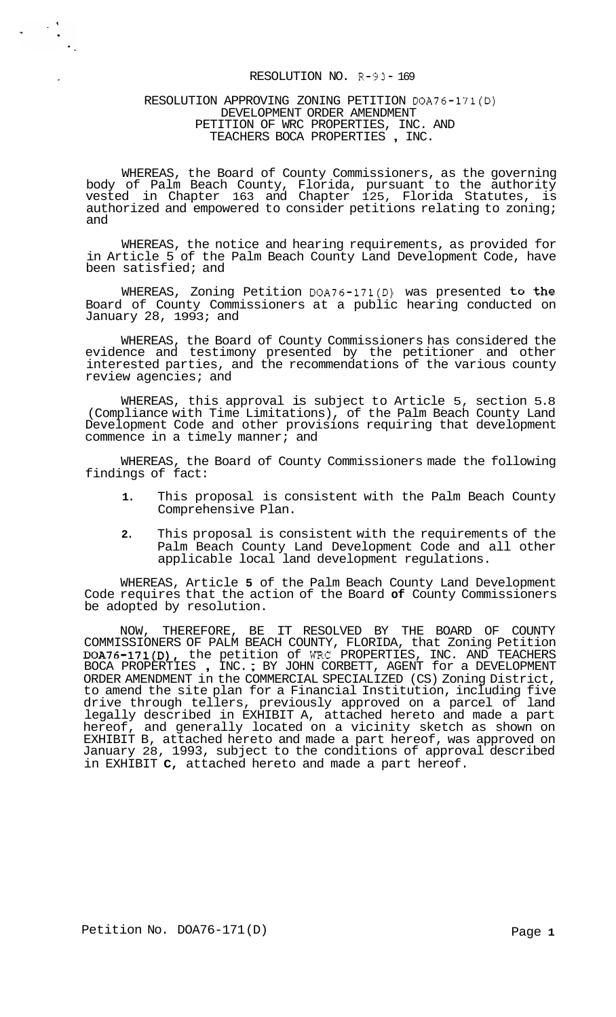### RESOLUTION NO. R-93- 169

## RESOLUTION APPROVING ZONING PETITION DOA76-171(D) DEVELOPMENT ORDER AMENDMENT TEACHERS BOCA PROPERTIES , INC. PETITION OF WRC PROPERTIES, INC. AND

 $\label{eq:2} \begin{array}{ccccc} \mathbf{r} & & \mathbf{r} & & \mathbf{r} & \mathbf{r} \\ & \mathbf{r} & & \mathbf{r} & \mathbf{r} \\ & \mathbf{r} & & \mathbf{r} & \mathbf{r} \end{array}$ 

WHEREAS, the Board of County Commissioners, as the governing body of Palm Beach County, Florida, pursuant to the authority vested in Chapter 163 and Chapter 125, Florida Statutes, is authorized and empowered to consider petitions relating to zoning; and

WHEREAS, the notice and hearing requirements, as provided for in Article 5 of the Palm Beach County Land Development Code, have been satisfied; and

WHEREAS, Zoning Petition DOA76-171(D) was presented to the Board of County Commissioners at a public hearing conducted on January 28, 1993; and

WHEREAS, the Board of County Commissioners has considered the evidence and testimony presented by the petitioner and other interested parties, and the recommendations of the various county review agencies; and

WHEREAS, this approval is subject to Article 5, section 5.8 (Compliance with Time Limitations), of the Palm Beach County Land Development Code and other provisions requiring that development commence in a timely manner; and

WHEREAS, the Board of County Commissioners made the following findings of fact:

- **1.** This proposal is consistent with the Palm Beach County Comprehensive Plan.
- **2.** This proposal is consistent with the requirements of the Palm Beach County Land Development Code and all other applicable local land development regulations.

WHEREAS, Article **5** of the Palm Beach County Land Development Code requires that the action of the Board **of** County Commissioners be adopted by resolution.

NOW, THEREFORE, BE IT RESOLVED BY THE BOARD OF COUNTY COMMISSIONERS OF PALM BEACH COUNTY, FLORIDA, that Zoning Petition DOA76-171(D), the petition of WRC PROPERTIES, INC. AND TEACHERS BOCA PROPERTIES , INC. ; BY JOHN CORBETT, AGENT for a DEVELOPMENT ORDER AMENDMENT in the COMMERCIAL SPECIALIZED (CS) Zoning District, to amend the site plan for a Financial Institution, including five drive through tellers, previously approved on a parcel of land legally described in EXHIBIT A, attached hereto and made a part hereof, and generally located on a vicinity sketch as shown on EXHIBIT B, attached hereto and made a part hereof, was approved on January 28, 1993, subject to the conditions of approval described in EXHIBIT **C,** attached hereto and made a part hereof.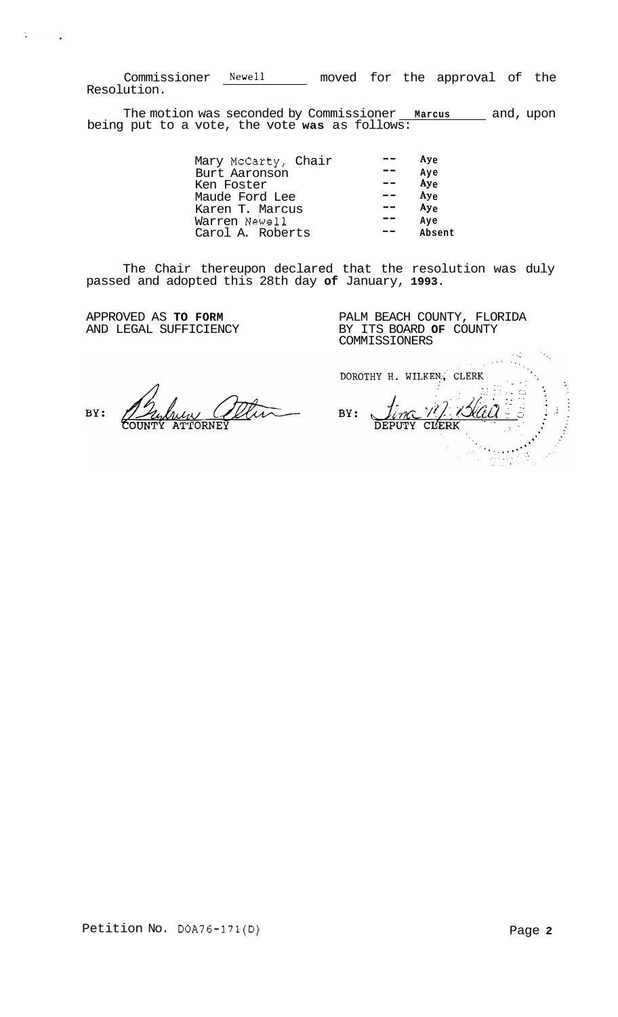Commissioner Newell \_\_\_\_\_ moved for the approval of the Resolution.

The motion was seconded by Commissioner **Marcus** and, upon being put to a vote, the vote **was** as follows:

| $Ay_{\theta}$   |
|-----------------|
| Aye             |
| Ay <sub>e</sub> |
| Ay <sub>e</sub> |
| Ay <sub>e</sub> |
| Ave             |
| Absent          |
|                 |

The Chair thereupon declared that the resolution was duly passed and adopted this 28th day **of** January, **1993.** 

APPROVED AS **TO FORM**  AND LEGAL SUFFICIENCY

 $\frac{1}{2}$ 

 $\sim 10^7$ 

PALM BEACH COUNTY, FLORIDA BY ITS BOARD **OF** COUNTY COMMISSIONERS

ttu BY: **PORNEV** 

G. DOROTHY H. WILKEN, CLERK 717. VSU BY: DEPUTY CLERK  $\ddot{\odot}$ it Ni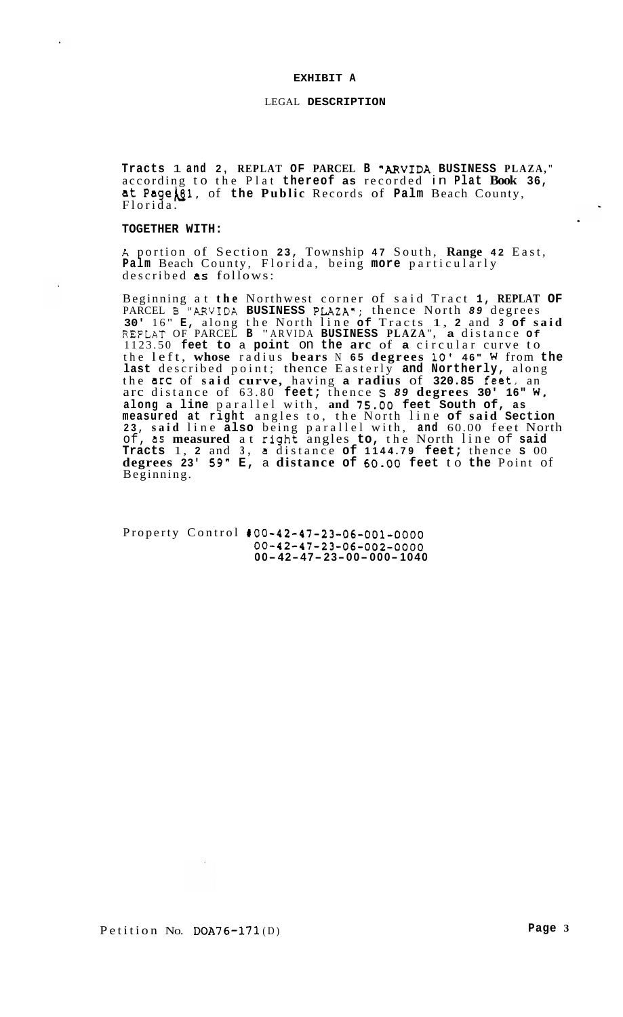#### **EXHIBIT A**

#### LEGAL **DESCRIPTION**

**Tracts** 1 **and 2, REPLAT OF PARCEL B "ARVIDA BUSINESS PLAZA, "**  according to the Plat **thereof as** recorded in **Plat Book 36,**  at **Pagebl,** of **the Public** Records of **Palm** Beach County, Florida.

#### **TOGETHER WITH:**

*h* portion of Section **23,** Township **47** South, **Range 42** East, **Palm** Beach County, Florida, being **more** particularly described **as** follows:

Beginning at **the** Northwest corner of said Tract **1, REPLAT OF**  PARCEL B <sup>"</sup>ARVIDA **BUSINESS PLAZA"**; thence North **89** degrees **30'** 16" **E**, along the North line of Tracts 1, **2** and **3 of said** REFLAT OF PARCEL **B** " ARVIDA **BUSINESS PLAZA" , a** distance **Of**  1123.50 **feet to** a **point** on **the arc** of **a** circular curve to the left, **whose** radius **bears** N **65 degrees 10' 4 6 " W** from **the last** described point; thence Easterly **and Northerly,** along the arc of **said curve,** having **a radius** of **320.85** feet, an arc distance of 63.80 **feet;** thence **S** *89* **degrees 30' 16" W, along a line** parallel with, **and** *75.00* **feet South of, as measured at right** angles to, the North line **of said Section 23, said** line **also** being parallel with, **and** 60.00 feet North of, **as measured** at rlght angles **to,** the North line of **said Tracts** 1, **2** and **3, a** distance **of 1144.79 feet;** thence **S** 00 **degrees 23'** *59"* **E,** a **distance of 60.00 feet** to **the** Point of Beginning.

Property Control **100-42-47-23-06-001-0000 00-42-47-23-06-002-0000 00- 42- 47- 23- 00- 000- <sup>1040</sup>**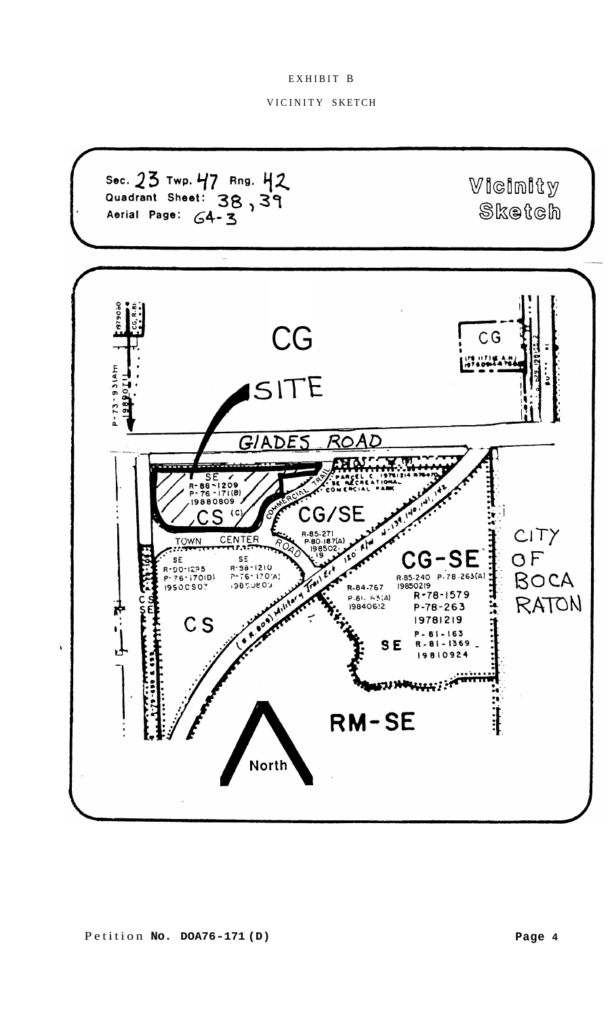## EXHIBIT B

## VICINITY SKETCH

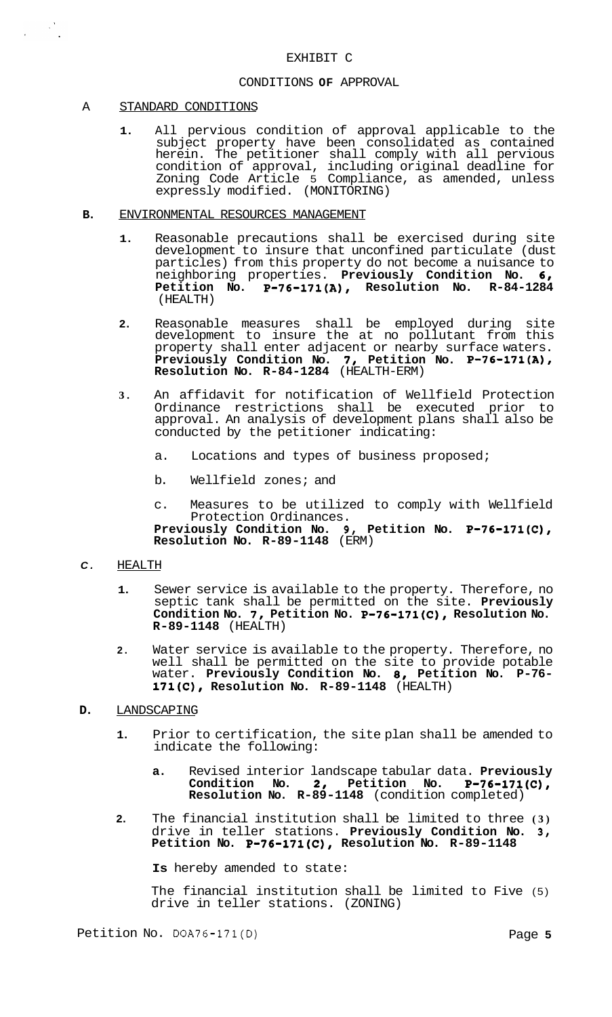## CONDITIONS **OF** APPROVAL

### A STANDARD CONDITIONS

 $\label{eq:2} \frac{1}{2} \left( \frac{1}{2} \right)^{2} \left( \frac{1}{2} \right)^{2} \frac{1}{2} \left( \frac{1}{2} \right)^{2}$ 

- **1.** All pervious condition of approval applicable to the subject property have been consolidated as contained herein. The petitioner shall comply with all pervious condition of approval, including original deadline for Zoning Code Article 5 Compliance, as amended, unless expressly modified. (MONITORING)
- **B.** ENVIRONMENTAL RESOURCES MANAGEMENT
	- **1.** Reasonable precautions shall be exercised during site development to insure that unconfined particulate (dust particles) from this property do not become a nuisance to neighboring properties. **Previously Condition No. 61**  Petition No. P-76-171(A), Resolution No. R-84-1284 (HEALTH)
	- **2.** Reasonable measures shall be employed during site development to insure the at no pollutant from this property shall enter adjacent or nearby surface waters. **Previously Condition No. 71 Petition No. P-76-171(A), Resolution No. R-84-1284** (HEALTH-ERM)
	- **3.** An affidavit for notification of Wellfield Protection Ordinance restrictions shall be executed prior to approval. An analysis of development plans shall also be conducted by the petitioner indicating:
		- a. Locations and types of business proposed;
		- b. Wellfield zones; and
		- c. Measures to be utilized to comply with Wellfield Previously Condition No. 9, Petition No. P-76-171(C), **Resolution No. R-89-1148** (ERM) Protection Ordinances.

### *C.* HEALTH

- **1.** Sewer service is available to the property. Therefore, no septic tank shall be permitted on the site. **Previously**  Condition No. 7, Petition No. P-76-171(C), Resolution No. **R-89-1148** (HEALTH)
- **2.** Water service is available to the property. Therefore, no well shall be permitted on the site to provide potable water. Previously Condition No. 8, Petition No. P-76-<br>171(C), Resolution No. R-89-1148 (HEALTH)

## **D.** LANDSCAPING

- **1.** Prior to certification, the site plan shall be amended to indicate the following:
	- **a.** Revised interior landscape tabular data. **Previously Condition No. 2, Petition No. P-76-171(C), Resolution No. R-89-1148** (condition completed)
- **2.** The financial institution shall be limited to three **(3)**  drive in teller stations. Previously Condition No. 3, Petition No. **P-76-171(C),** Resolution No. R-89-1148

**Is** hereby amended to state:

The financial institution shall be limited to Five (5) drive in teller stations. (ZONING)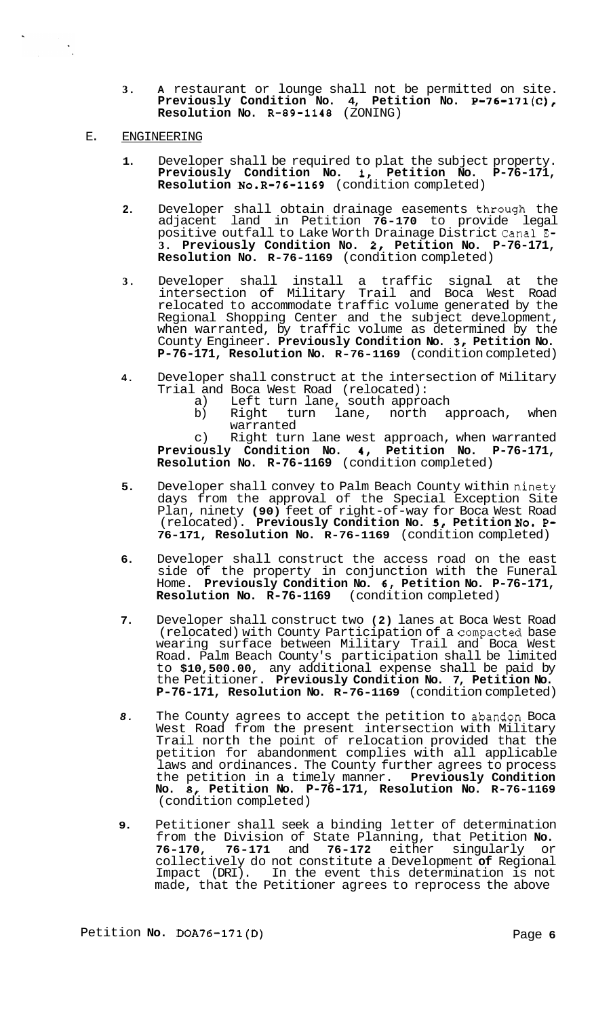- **3. A** restaurant or lounge shall not be permitted on site. **Previously Condition No. 4, Petition No. P-76-171(C), Resolution No. R-89-1148** (ZONING)
- E. ENGINEERING

- **1.** Developer shall be required to plat the subject property. **Previously Condition No. I, Petition No. P-76-171, Resolution N0.R-76-1169** (condition completed)
- **2.** Developer shall obtain drainage easements through the adjacent land in Petition **76-170** to provide legal positive outfall to Lake Worth Drainage District Canal **E-3. Previously Condition No. 2, Petition No. P-76-171, Resolution No. R-76-1169** (condition completed)
- **3.** Developer shall install a traffic signal at the intersection of Military Trail and Boca West Road relocated to accommodate traffic volume generated by the Regional Shopping Center and the subject development, when warranted, by traffic volume as determined by the County Engineer. Previously Condition No. 3, Petition No. **P-76-171, Resolution No. R-76-1169** (condition completed)
- **4.** Developer shall construct at the intersection of Military Trial and Boca West Road (relocated):<br>a) Left turn lane, south approa
	- a) Left turn lane, south approach<br>b) Right turn lane, north a
	- lane, north approach, when warranted

c) Right turn lane west approach, when warranted **Previously Condition No. 4, Petition No. P-76-171, Resolution No. R-76-1169** (condition completed)

- **5.** Developer shall convey to Palm Beach County within ninety days from the approval of the Special Exception Site Plan, ninety **(90)** feet of right-of-way for Boca West Road (relocated). **Previously Condition No.** *51* **Petition No. P-76-171, Resolution No. R-76-1169** (condition completed)
- **6.** Developer shall construct the access road on the east side of the property in conjunction with the Funeral Home. **Previously Condition No. 6, Petition No. P-76-171, Resolution No. R-76-1169** (condition completed)
- **7.** Developer shall construct two **(2)** lanes at Boca West Road (relocated) with County Participation of a compacted base wearing surface between Military Trail and Boca West Road. Palm Beach County's participation shall be limited to **\$10,500.00,** any additional expense shall be paid by the Petitioner. **Previously Condition No. 7, Petition No. P-76-171, Resolution No. R-76-1169** (condition completed)
- 8. The County agrees to accept the petition to abandon Boca West Road from the present intersection with Military Trail north the point of relocation provided that the petition for abandonment complies with all applicable laws and ordinances. The County further agrees to process the petition in a timely manner. **Previously Condition No.** *8,* **Petition No. P-76-171, Resolution No. R-76-1169**  (condition completed)
- **9.** Petitioner shall seek a binding letter of determination from the Division of State Planning, that Petition **No. 76-170, 76-171 and 76-172 either singularly** collectively do not constitute a Development **of** Regional Impact (DRI). In the event this determination is not made, that the Petitioner agrees to reprocess the above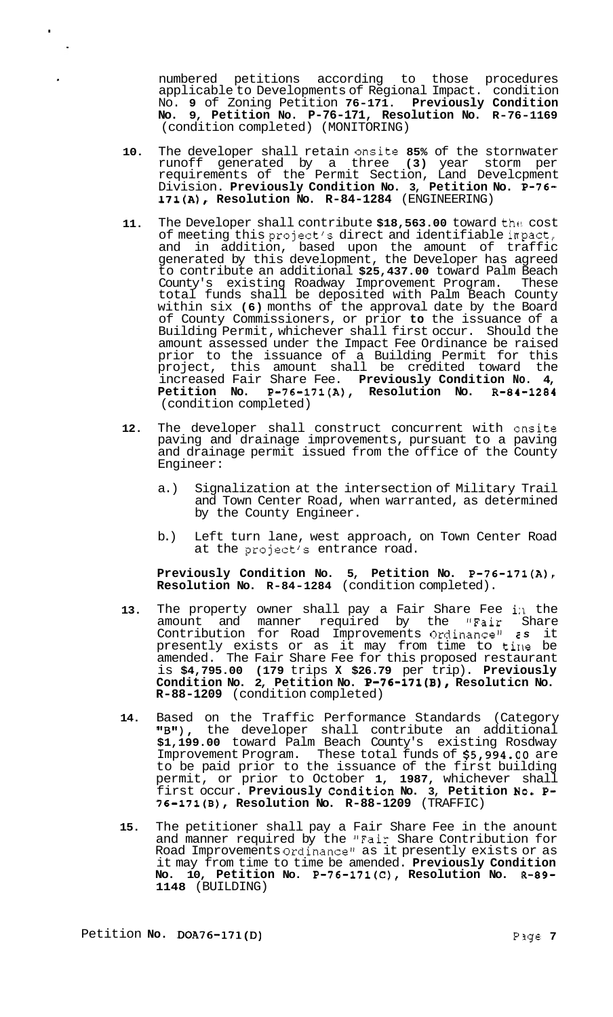numbered petitions according to those procedures applicable to Developments of Regional Impact. condition No. **9** of Zoning Petition **76-171. Previously Condition No. 9, Petition No. P-76-171, Resolution No. R-76-1169**  (condition completed) (MONITORING)

- **10.** The developer shall retain onsite **85%** of the stornwater runoff generated by a three **(3)** year storm per requirements of the Permit Section, Land Develcpment Division. **Previously Condition No. 3, Petition No. P-76- 171(A), Resolution No. R-84-1284** (ENGINEERING)
- **11.** The Developer shall contribute **\$18,563.00** toward the! cost of meeting this project's direct and identifiable inpact, and in addition, based upon the amount of traffic generated by this development, the Developer has agreed to contribute an additional **\$25,437.00** toward Palm Beach County's existing Roadway Improvement Program. These total funds shall be deposited with Palm Beach County within six **(6)** months of the approval date by the Board of County Commissioners, or prior **to** the issuance of a Building Permit, whichever shall first occur. Should the amount assessed under the Impact Fee Ordinance be raised prior to the issuance of a Building Permit for this project, this amount shall be credited toward the increased Fair Share Fee. **Previously Condition No. 4, Petition No. P-76-171(A), Resolution No. R-84-1284**  (condition completed)
- **12.** The developer shall construct concurrent with ansite paving and drainage improvements, pursuant to a paving and drainage permit issued from the office of the County Engineer:
	- a.) Signalization at the intersection of Military Trail and Town Center Road, when warranted, as determined by the County Engineer.
	- b.) Left turn lane, west approach, on Town Center Road at the project's entrance road.

**Previously Condition No. 5, Petition No. P-76-171(A), Resolution No. R-84-1284** (condition completed).

- 13. The property owner shall pay a Fair Share Fee in the amount and manner required by the "Fair Share Contribution for Road Improvements Ordinancell **2** *s* it presently exists or as it may from time to tirle be amended. The Fair Share Fee for this proposed restaurant is **\$4,795.00 (179** trips **X \$26.79** per trip). **Previously Condition No. 2, Petition No. P-76-171(B), Resoluticn No. R-88-1209** (condition completed)
- **14.** Based on the Traffic Performance Standards (Category **ltBtt),** the developer shall contribute an additional **\$1,199.00** toward Palm Beach County's existing Rosdway Improvement Program. These total funds of **\$5,994.00** are to be paid prior to the issuance of the first building permit, or prior to October **1, 1987,** whichever shall first occur. Previously Condition No. 3, Petition No. P-**76-171(B), Resolution No. R-88-1209** (TRAFFIC)
- **15.** The petitioner shall pay a Fair Share Fee in the anount and manner required by the "Fair Share Contribution for Road Improvements Ordinance" as it presently exists or as it may from time to time be amended. **Previously Condition No. 10, Petition No. P-76-171(C), Resolution No. R-89- 1148** (BUILDING)

.